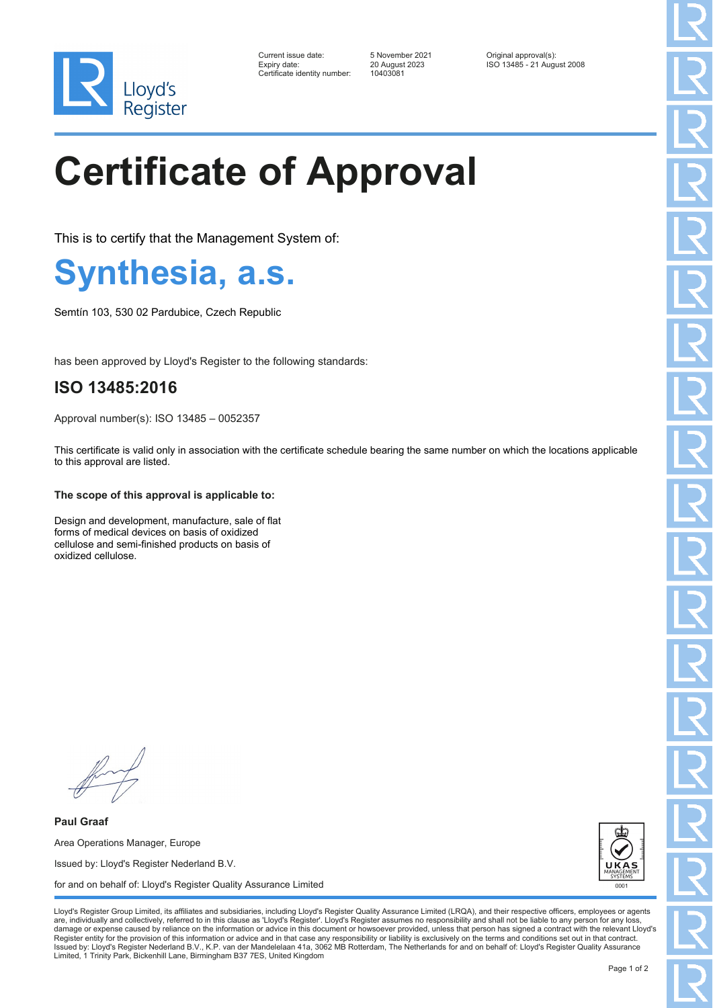

| Current issue date:         |
|-----------------------------|
| Expiry date:                |
| Certificate identity number |

Certificate identity number: 10403081

Current issue date: 5 November 2021 Original approval(s): Expiry date: 20 August 2023 ISO 13485 - 21 August 2008

# **Certificate of Approval**

This is to certify that the Management System of:

**Synthesia, a.s.**

Semtín 103, 530 02 Pardubice, Czech Republic

has been approved by Lloyd's Register to the following standards:

### **ISO 13485:2016**

Approval number(s): ISO 13485 – 0052357

This certificate is valid only in association with the certificate schedule bearing the same number on which the locations applicable to this approval are listed.

### **The scope of this approval is applicable to:**

Design and development, manufacture, sale of flat forms of medical devices on basis of oxidized cellulose and semi-finished products on basis of oxidized cellulose.

**Paul Graaf** Area Operations Manager, Europe Issued by: Lloyd's Register Nederland B.V. for and on behalf of: Lloyd's Register Quality Assurance Limited



Lloyd's Register Group Limited, its affiliates and subsidiaries, including Lloyd's Register Quality Assurance Limited (LRQA), and their respective officers, employees or agents are, individually and collectively, referred to in this clause as 'Lloyd's Register'. Lloyd's Register assumes no responsibility and shall not be liable to any person for any los damage or expense caused by reliance on the information or advice in this document or howsoever provided, unless that person has signed a contract with the relevant Lloyd's<br>Register entity for the provision of this informa Issued by: Lloyd's Register Nederland B.V., K.P. van der Mandelelaan 41a, 3062 MB Rotterdam, The Netherlands for and on behalf of: Lloyd's Register Quality Assurance Limited, 1 Trinity Park, Bickenhill Lane, Birmingham B37 7ES, United Kingdom